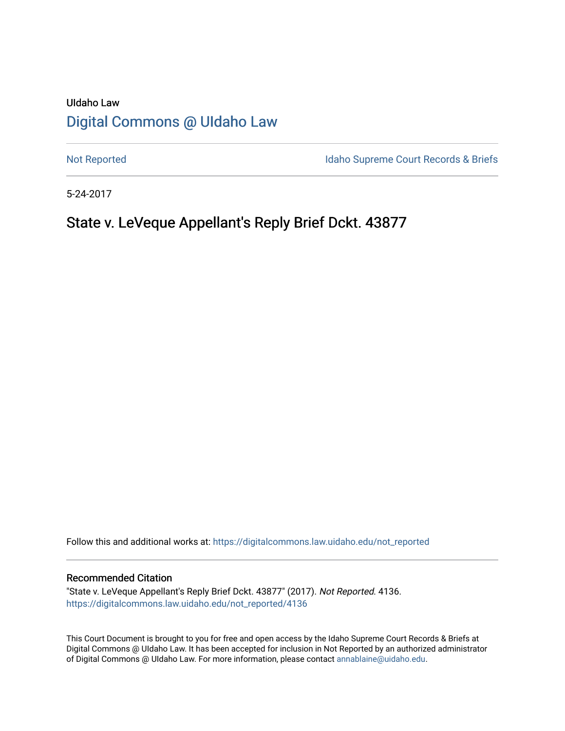# UIdaho Law [Digital Commons @ UIdaho Law](https://digitalcommons.law.uidaho.edu/)

[Not Reported](https://digitalcommons.law.uidaho.edu/not_reported) **Idaho Supreme Court Records & Briefs** 

5-24-2017

# State v. LeVeque Appellant's Reply Brief Dckt. 43877

Follow this and additional works at: [https://digitalcommons.law.uidaho.edu/not\\_reported](https://digitalcommons.law.uidaho.edu/not_reported?utm_source=digitalcommons.law.uidaho.edu%2Fnot_reported%2F4136&utm_medium=PDF&utm_campaign=PDFCoverPages) 

### Recommended Citation

"State v. LeVeque Appellant's Reply Brief Dckt. 43877" (2017). Not Reported. 4136. [https://digitalcommons.law.uidaho.edu/not\\_reported/4136](https://digitalcommons.law.uidaho.edu/not_reported/4136?utm_source=digitalcommons.law.uidaho.edu%2Fnot_reported%2F4136&utm_medium=PDF&utm_campaign=PDFCoverPages)

This Court Document is brought to you for free and open access by the Idaho Supreme Court Records & Briefs at Digital Commons @ UIdaho Law. It has been accepted for inclusion in Not Reported by an authorized administrator of Digital Commons @ UIdaho Law. For more information, please contact [annablaine@uidaho.edu](mailto:annablaine@uidaho.edu).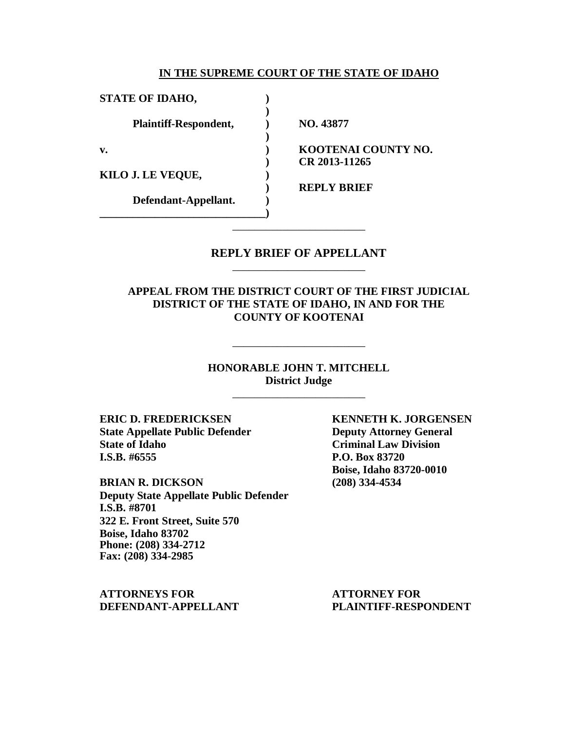#### **IN THE SUPREME COURT OF THE STATE OF IDAHO**

| <b>STATE OF IDAHO,</b>       |                     |
|------------------------------|---------------------|
| <b>Plaintiff-Respondent,</b> | NO. 43877           |
| v.                           | KOOTENAI COUNTY NO. |
|                              | CR 2013-11265       |
| KILO J. LE VEQUE,            |                     |
|                              | <b>REPLY BRIEF</b>  |
| Defendant-Appellant.         |                     |
|                              |                     |

## **REPLY BRIEF OF APPELLANT** \_\_\_\_\_\_\_\_\_\_\_\_\_\_\_\_\_\_\_\_\_\_\_\_

\_\_\_\_\_\_\_\_\_\_\_\_\_\_\_\_\_\_\_\_\_\_\_\_

## **APPEAL FROM THE DISTRICT COURT OF THE FIRST JUDICIAL DISTRICT OF THE STATE OF IDAHO, IN AND FOR THE COUNTY OF KOOTENAI**

### **HONORABLE JOHN T. MITCHELL District Judge** \_\_\_\_\_\_\_\_\_\_\_\_\_\_\_\_\_\_\_\_\_\_\_\_

\_\_\_\_\_\_\_\_\_\_\_\_\_\_\_\_\_\_\_\_\_\_\_\_

**ERIC D. FREDERICKSEN KENNETH K. JORGENSEN State Appellate Public Defender Deputy Attorney General State of Idaho Criminal Law Division I.S.B. #6555 P.O. Box 83720**

**BRIAN R. DICKSON (208) 334-4534 Deputy State Appellate Public Defender I.S.B. #8701 322 E. Front Street, Suite 570 Boise, Idaho 83702 Phone: (208) 334-2712 Fax: (208) 334-2985**

**ATTORNEYS FOR ATTORNEY FOR DEFENDANT-APPELLANT PLAINTIFF-RESPONDENT**

**Boise, Idaho 83720-0010**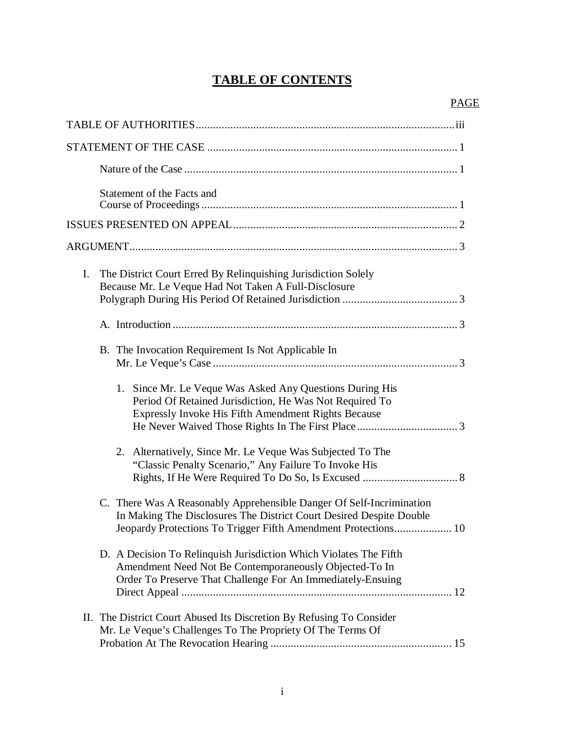# **TABLE OF CONTENTS**

| Statement of the Facts and                                                                                                                                                                                        |
|-------------------------------------------------------------------------------------------------------------------------------------------------------------------------------------------------------------------|
|                                                                                                                                                                                                                   |
|                                                                                                                                                                                                                   |
| $I_{\cdot}$<br>The District Court Erred By Relinquishing Jurisdiction Solely<br>Because Mr. Le Veque Had Not Taken A Full-Disclosure                                                                              |
|                                                                                                                                                                                                                   |
| B. The Invocation Requirement Is Not Applicable In                                                                                                                                                                |
| Since Mr. Le Veque Was Asked Any Questions During His<br>1.<br>Period Of Retained Jurisdiction, He Was Not Required To<br>Expressly Invoke His Fifth Amendment Rights Because                                     |
| 2. Alternatively, Since Mr. Le Veque Was Subjected To The<br>"Classic Penalty Scenario," Any Failure To Invoke His                                                                                                |
| C. There Was A Reasonably Apprehensible Danger Of Self-Incrimination<br>In Making The Disclosures The District Court Desired Despite Double<br>Jeopardy Protections To Trigger Fifth Amendment Protections<br>.10 |
| D. A Decision To Relinquish Jurisdiction Which Violates The Fifth<br>Amendment Need Not Be Contemporaneously Objected-To In<br>Order To Preserve That Challenge For An Immediately-Ensuing                        |
| II. The District Court Abused Its Discretion By Refusing To Consider<br>Mr. Le Veque's Challenges To The Propriety Of The Terms Of                                                                                |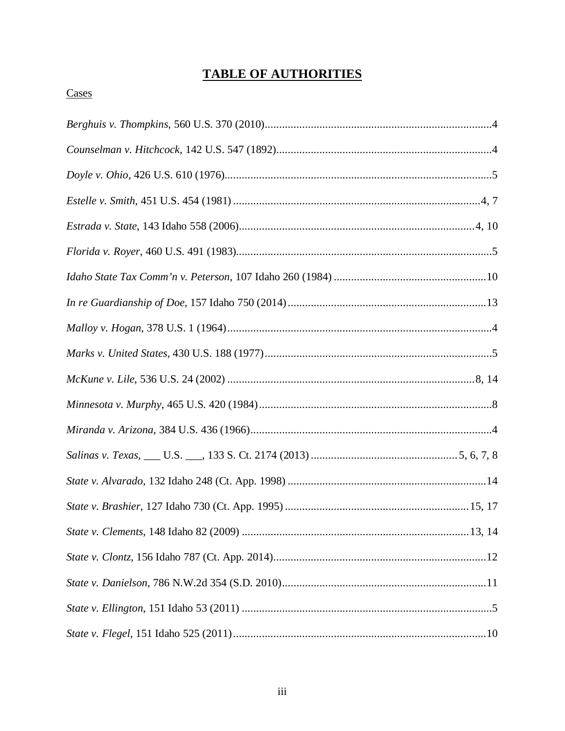# **TABLE OF AUTHORITIES**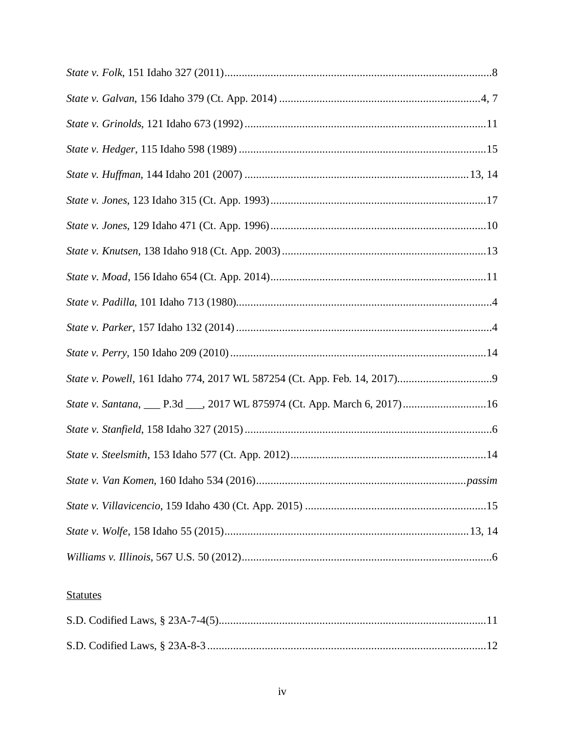| State v. Santana, ___ P.3d ___, 2017 WL 875974 (Ct. App. March 6, 2017) 16 |
|----------------------------------------------------------------------------|
|                                                                            |
|                                                                            |
|                                                                            |
|                                                                            |
|                                                                            |
|                                                                            |

# **Statutes**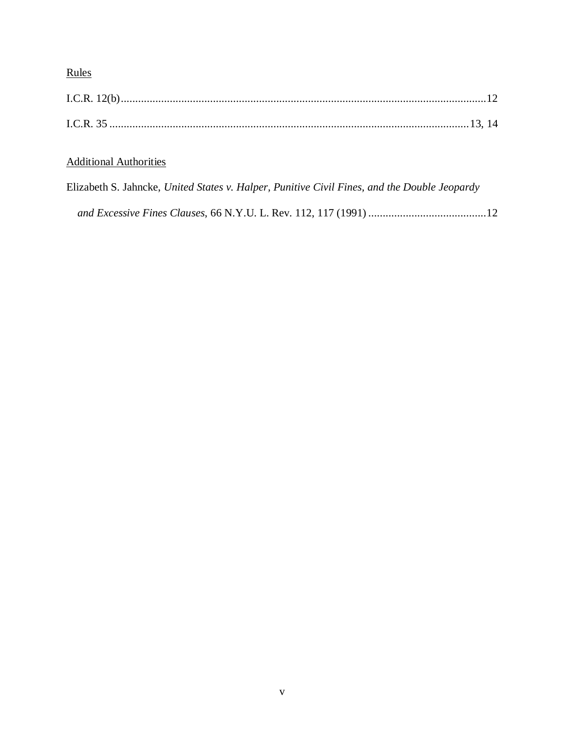# Rules

# Additional Authorities

|  |  |  | Elizabeth S. Jahncke, United States v. Halper, Punitive Civil Fines, and the Double Jeopardy |  |
|--|--|--|----------------------------------------------------------------------------------------------|--|
|  |  |  |                                                                                              |  |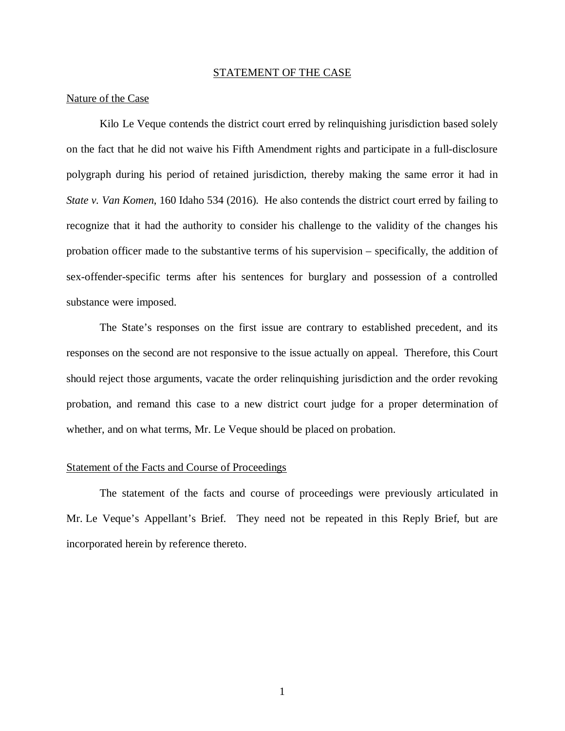#### STATEMENT OF THE CASE

### Nature of the Case

Kilo Le Veque contends the district court erred by relinquishing jurisdiction based solely on the fact that he did not waive his Fifth Amendment rights and participate in a full-disclosure polygraph during his period of retained jurisdiction, thereby making the same error it had in *State v. Van Komen*, 160 Idaho 534 (2016). He also contends the district court erred by failing to recognize that it had the authority to consider his challenge to the validity of the changes his probation officer made to the substantive terms of his supervision – specifically, the addition of sex-offender-specific terms after his sentences for burglary and possession of a controlled substance were imposed.

The State's responses on the first issue are contrary to established precedent, and its responses on the second are not responsive to the issue actually on appeal. Therefore, this Court should reject those arguments, vacate the order relinquishing jurisdiction and the order revoking probation, and remand this case to a new district court judge for a proper determination of whether, and on what terms, Mr. Le Veque should be placed on probation.

#### Statement of the Facts and Course of Proceedings

The statement of the facts and course of proceedings were previously articulated in Mr. Le Veque's Appellant's Brief. They need not be repeated in this Reply Brief, but are incorporated herein by reference thereto.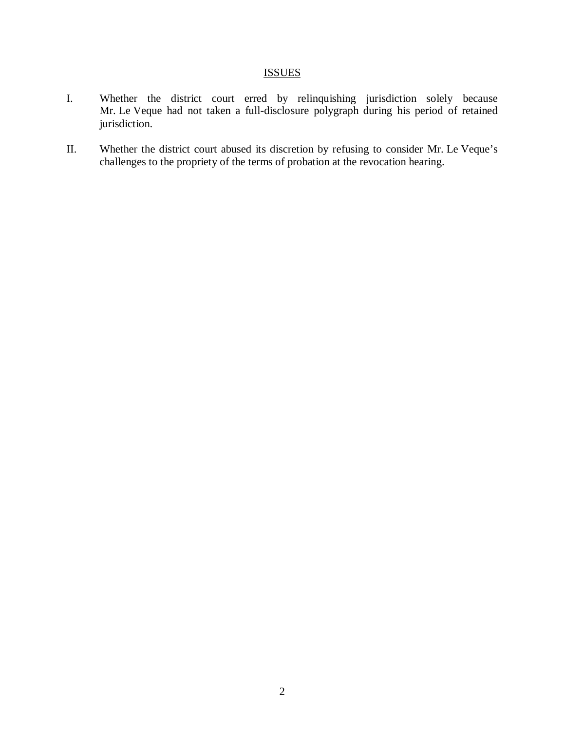# **ISSUES**

- I. Whether the district court erred by relinquishing jurisdiction solely because Mr. Le Veque had not taken a full-disclosure polygraph during his period of retained jurisdiction.
- II. Whether the district court abused its discretion by refusing to consider Mr. Le Veque's challenges to the propriety of the terms of probation at the revocation hearing.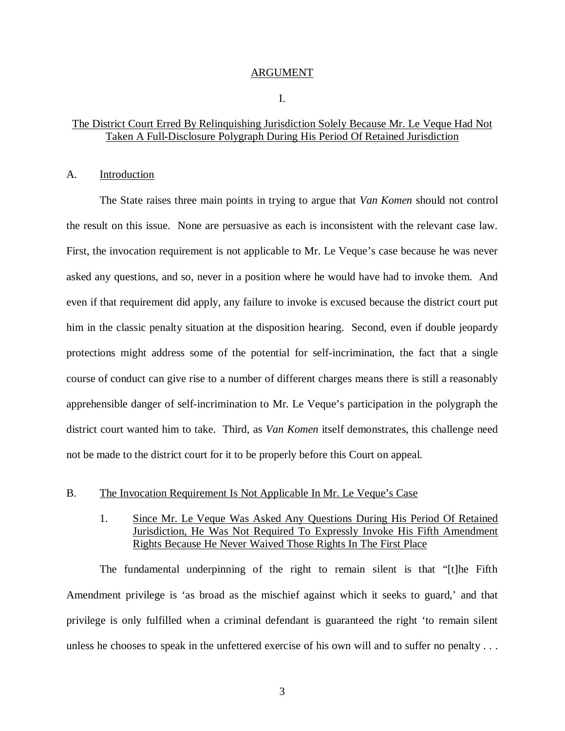#### ARGUMENT

#### I.

### The District Court Erred By Relinquishing Jurisdiction Solely Because Mr. Le Veque Had Not Taken A Full-Disclosure Polygraph During His Period Of Retained Jurisdiction

### A. Introduction

The State raises three main points in trying to argue that *Van Komen* should not control the result on this issue. None are persuasive as each is inconsistent with the relevant case law. First, the invocation requirement is not applicable to Mr. Le Veque's case because he was never asked any questions, and so, never in a position where he would have had to invoke them. And even if that requirement did apply, any failure to invoke is excused because the district court put him in the classic penalty situation at the disposition hearing. Second, even if double jeopardy protections might address some of the potential for self-incrimination, the fact that a single course of conduct can give rise to a number of different charges means there is still a reasonably apprehensible danger of self-incrimination to Mr. Le Veque's participation in the polygraph the district court wanted him to take. Third, as *Van Komen* itself demonstrates, this challenge need not be made to the district court for it to be properly before this Court on appeal.

### B. The Invocation Requirement Is Not Applicable In Mr. Le Veque's Case

## 1. Since Mr. Le Veque Was Asked Any Questions During His Period Of Retained Jurisdiction, He Was Not Required To Expressly Invoke His Fifth Amendment Rights Because He Never Waived Those Rights In The First Place

The fundamental underpinning of the right to remain silent is that "[t]he Fifth Amendment privilege is 'as broad as the mischief against which it seeks to guard,' and that privilege is only fulfilled when a criminal defendant is guaranteed the right 'to remain silent unless he chooses to speak in the unfettered exercise of his own will and to suffer no penalty . . .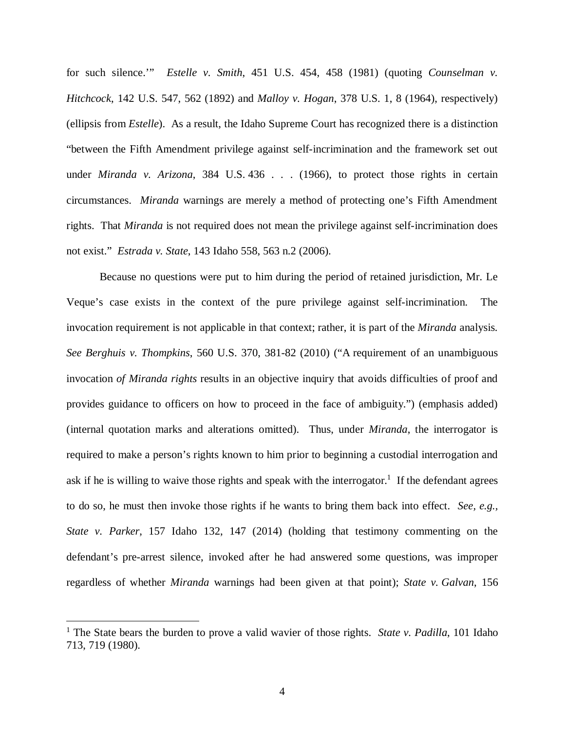for such silence.'" *Estelle v. Smith*, 451 U.S. 454, 458 (1981) (quoting *Counselman v. Hitchcock*, 142 U.S. 547, 562 (1892) and *Malloy v. Hogan*, 378 U.S. 1, 8 (1964), respectively) (ellipsis from *Estelle*). As a result, the Idaho Supreme Court has recognized there is a distinction "between the Fifth Amendment privilege against self-incrimination and the framework set out under *Miranda v. Arizona*, 384 U.S. 436 . . . (1966), to protect those rights in certain circumstances. *Miranda* warnings are merely a method of protecting one's Fifth Amendment rights. That *Miranda* is not required does not mean the privilege against self-incrimination does not exist." *Estrada v. State*, 143 Idaho 558, 563 n.2 (2006).

Because no questions were put to him during the period of retained jurisdiction, Mr. Le Veque's case exists in the context of the pure privilege against self-incrimination. The invocation requirement is not applicable in that context; rather, it is part of the *Miranda* analysis. *See Berghuis v. Thompkins*, 560 U.S. 370, 381-82 (2010) ("A requirement of an unambiguous invocation *of Miranda rights* results in an objective inquiry that avoids difficulties of proof and provides guidance to officers on how to proceed in the face of ambiguity.") (emphasis added) (internal quotation marks and alterations omitted). Thus, under *Miranda*, the interrogator is required to make a person's rights known to him prior to beginning a custodial interrogation and ask if he is willing to waive those rights and speak with the interrogator.<sup>[1](#page-10-0)</sup> If the defendant agrees to do so, he must then invoke those rights if he wants to bring them back into effect. *See, e.g., State v. Parker*, 157 Idaho 132, 147 (2014) (holding that testimony commenting on the defendant's pre-arrest silence, invoked after he had answered some questions, was improper regardless of whether *Miranda* warnings had been given at that point); *State v. Galvan*, 156

<span id="page-10-0"></span><sup>&</sup>lt;sup>1</sup> The State bears the burden to prove a valid wavier of those rights. *State v. Padilla*, 101 Idaho 713, 719 (1980).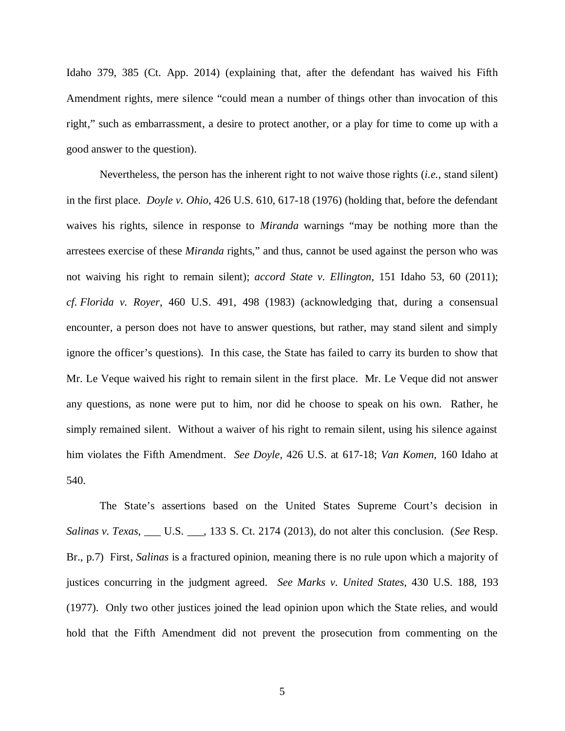Idaho 379, 385 (Ct. App. 2014) (explaining that, after the defendant has waived his Fifth Amendment rights, mere silence "could mean a number of things other than invocation of this right," such as embarrassment, a desire to protect another, or a play for time to come up with a good answer to the question).

Nevertheless, the person has the inherent right to not waive those rights (*i.e.,* stand silent) in the first place. *Doyle v. Ohio*, 426 U.S. 610, 617-18 (1976) (holding that, before the defendant waives his rights, silence in response to *Miranda* warnings "may be nothing more than the arrestees exercise of these *Miranda* rights," and thus, cannot be used against the person who was not waiving his right to remain silent); *accord State v. Ellington*, 151 Idaho 53, 60 (2011); *cf. Florida v. Royer*, 460 U.S. 491, 498 (1983) (acknowledging that, during a consensual encounter, a person does not have to answer questions, but rather, may stand silent and simply ignore the officer's questions). In this case, the State has failed to carry its burden to show that Mr. Le Veque waived his right to remain silent in the first place. Mr. Le Veque did not answer any questions, as none were put to him, nor did he choose to speak on his own. Rather, he simply remained silent. Without a waiver of his right to remain silent, using his silence against him violates the Fifth Amendment. *See Doyle*, 426 U.S. at 617-18; *Van Komen*, 160 Idaho at 540.

The State's assertions based on the United States Supreme Court's decision in *Salinas v. Texas*, \_\_\_ U.S. \_\_\_, 133 S. Ct. 2174 (2013), do not alter this conclusion. (*See* Resp. Br., p.7) First, *Salinas* is a fractured opinion, meaning there is no rule upon which a majority of justices concurring in the judgment agreed. *See Marks v. United States*, 430 U.S. 188, 193 (1977). Only two other justices joined the lead opinion upon which the State relies, and would hold that the Fifth Amendment did not prevent the prosecution from commenting on the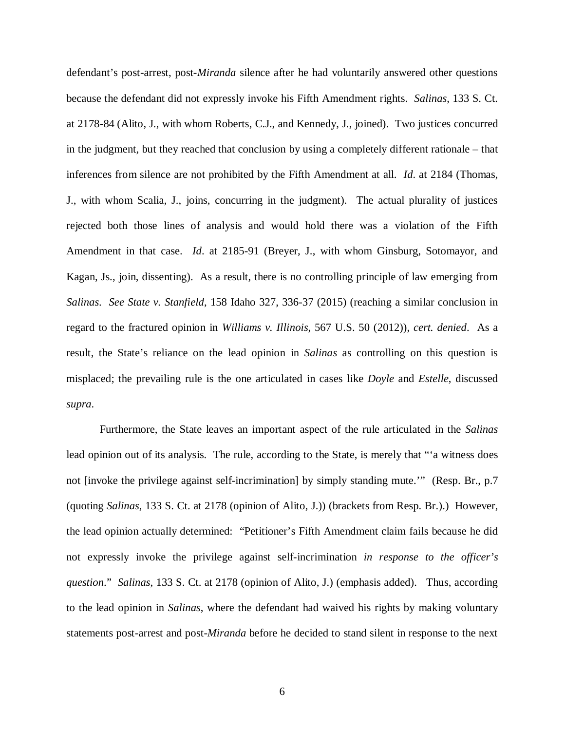defendant's post-arrest, post-*Miranda* silence after he had voluntarily answered other questions because the defendant did not expressly invoke his Fifth Amendment rights. *Salinas*, 133 S. Ct. at 2178-84 (Alito, J., with whom Roberts, C.J., and Kennedy, J., joined). Two justices concurred in the judgment, but they reached that conclusion by using a completely different rationale – that inferences from silence are not prohibited by the Fifth Amendment at all. *Id*. at 2184 (Thomas, J., with whom Scalia, J., joins, concurring in the judgment). The actual plurality of justices rejected both those lines of analysis and would hold there was a violation of the Fifth Amendment in that case. *Id*. at 2185-91 (Breyer, J., with whom Ginsburg, Sotomayor, and Kagan, Js., join, dissenting). As a result, there is no controlling principle of law emerging from *Salinas*. *See State v. Stanfield*, 158 Idaho 327, 336-37 (2015) (reaching a similar conclusion in regard to the fractured opinion in *Williams v. Illinois*, 567 U.S. 50 (2012)), *cert. denied*. As a result, the State's reliance on the lead opinion in *Salinas* as controlling on this question is misplaced; the prevailing rule is the one articulated in cases like *Doyle* and *Estelle*, discussed *supra*.

Furthermore, the State leaves an important aspect of the rule articulated in the *Salinas* lead opinion out of its analysis. The rule, according to the State, is merely that "'a witness does not [invoke the privilege against self-incrimination] by simply standing mute.'" (Resp. Br., p.7 (quoting *Salinas*, 133 S. Ct. at 2178 (opinion of Alito, J.)) (brackets from Resp. Br.).) However, the lead opinion actually determined: "Petitioner's Fifth Amendment claim fails because he did not expressly invoke the privilege against self-incrimination *in response to the officer's question*." *Salinas*, 133 S. Ct. at 2178 (opinion of Alito, J.) (emphasis added). Thus, according to the lead opinion in *Salinas*, where the defendant had waived his rights by making voluntary statements post-arrest and post-*Miranda* before he decided to stand silent in response to the next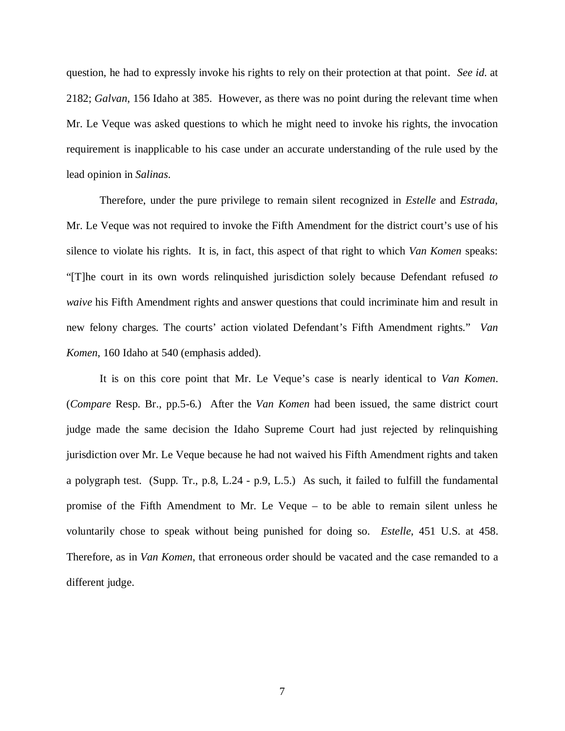question, he had to expressly invoke his rights to rely on their protection at that point. *See id*. at 2182; *Galvan*, 156 Idaho at 385. However, as there was no point during the relevant time when Mr. Le Veque was asked questions to which he might need to invoke his rights, the invocation requirement is inapplicable to his case under an accurate understanding of the rule used by the lead opinion in *Salinas*.

Therefore, under the pure privilege to remain silent recognized in *Estelle* and *Estrada*, Mr. Le Veque was not required to invoke the Fifth Amendment for the district court's use of his silence to violate his rights. It is, in fact, this aspect of that right to which *Van Komen* speaks: "[T]he court in its own words relinquished jurisdiction solely because Defendant refused *to waive* his Fifth Amendment rights and answer questions that could incriminate him and result in new felony charges. The courts' action violated Defendant's Fifth Amendment rights." *Van Komen*, 160 Idaho at 540 (emphasis added).

It is on this core point that Mr. Le Veque's case is nearly identical to *Van Komen*. (*Compare* Resp. Br., pp.5-6.) After the *Van Komen* had been issued, the same district court judge made the same decision the Idaho Supreme Court had just rejected by relinquishing jurisdiction over Mr. Le Veque because he had not waived his Fifth Amendment rights and taken a polygraph test. (Supp. Tr., p.8, L.24 - p.9, L.5.) As such, it failed to fulfill the fundamental promise of the Fifth Amendment to Mr. Le Veque – to be able to remain silent unless he voluntarily chose to speak without being punished for doing so. *Estelle*, 451 U.S. at 458. Therefore, as in *Van Komen*, that erroneous order should be vacated and the case remanded to a different judge.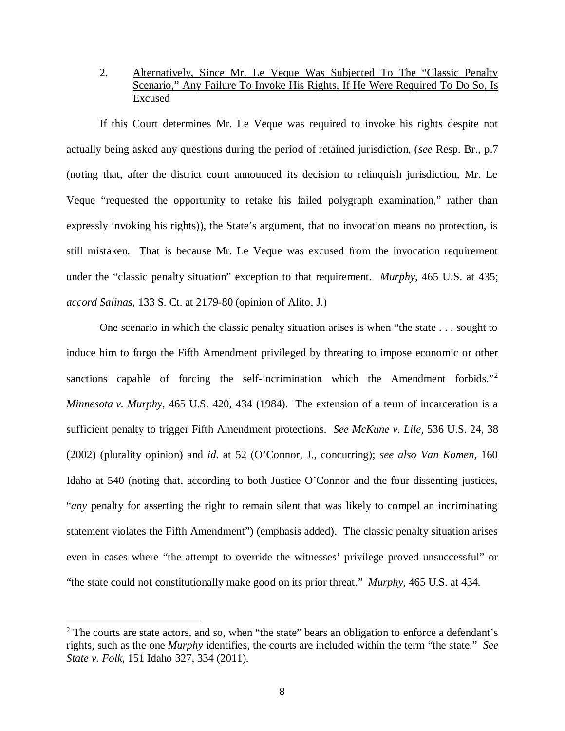## 2. Alternatively, Since Mr. Le Veque Was Subjected To The "Classic Penalty Scenario," Any Failure To Invoke His Rights, If He Were Required To Do So, Is Excused

If this Court determines Mr. Le Veque was required to invoke his rights despite not actually being asked any questions during the period of retained jurisdiction, (*see* Resp. Br., p.7 (noting that, after the district court announced its decision to relinquish jurisdiction, Mr. Le Veque "requested the opportunity to retake his failed polygraph examination," rather than expressly invoking his rights)), the State's argument, that no invocation means no protection, is still mistaken. That is because Mr. Le Veque was excused from the invocation requirement under the "classic penalty situation" exception to that requirement. *Murphy*, 465 U.S. at 435; *accord Salinas*, 133 S. Ct. at 2179-80 (opinion of Alito, J.)

One scenario in which the classic penalty situation arises is when "the state . . . sought to induce him to forgo the Fifth Amendment privileged by threating to impose economic or other sanctions capable of forcing the self-incrimination which the Amendment forbids."<sup>[2](#page-14-0)</sup> *Minnesota v. Murphy*, 465 U.S. 420, 434 (1984). The extension of a term of incarceration is a sufficient penalty to trigger Fifth Amendment protections. *See McKune v. Lile*, 536 U.S. 24, 38 (2002) (plurality opinion) and *id*. at 52 (O'Connor, J., concurring); *see also Van Komen*, 160 Idaho at 540 (noting that, according to both Justice O'Connor and the four dissenting justices, "*any* penalty for asserting the right to remain silent that was likely to compel an incriminating statement violates the Fifth Amendment") (emphasis added). The classic penalty situation arises even in cases where "the attempt to override the witnesses' privilege proved unsuccessful" or "the state could not constitutionally make good on its prior threat." *Murphy*, 465 U.S. at 434.

<span id="page-14-0"></span> $2$  The courts are state actors, and so, when "the state" bears an obligation to enforce a defendant's rights, such as the one *Murphy* identifies, the courts are included within the term "the state." *See State v. Folk*, 151 Idaho 327, 334 (2011).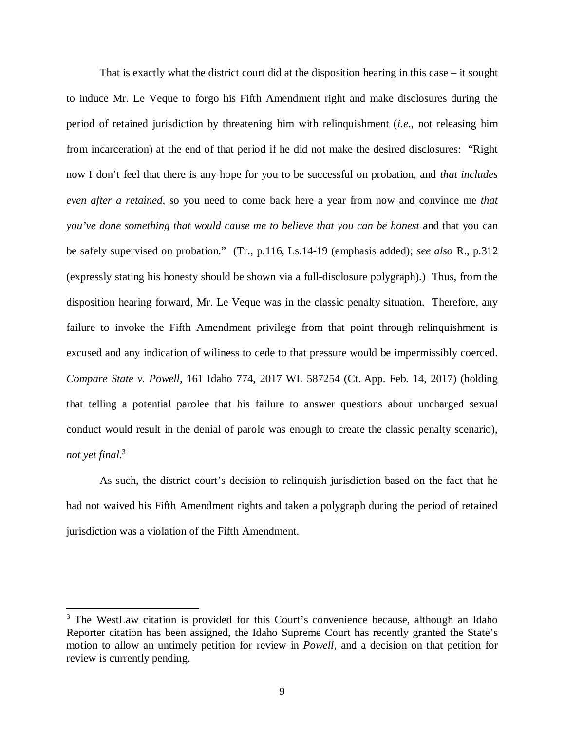That is exactly what the district court did at the disposition hearing in this case – it sought to induce Mr. Le Veque to forgo his Fifth Amendment right and make disclosures during the period of retained jurisdiction by threatening him with relinquishment (*i.e.*, not releasing him from incarceration) at the end of that period if he did not make the desired disclosures: "Right now I don't feel that there is any hope for you to be successful on probation, and *that includes even after a retained*, so you need to come back here a year from now and convince me *that you've done something that would cause me to believe that you can be honest* and that you can be safely supervised on probation." (Tr., p.116, Ls.14-19 (emphasis added); *see also* R., p.312 (expressly stating his honesty should be shown via a full-disclosure polygraph).) Thus, from the disposition hearing forward, Mr. Le Veque was in the classic penalty situation. Therefore, any failure to invoke the Fifth Amendment privilege from that point through relinquishment is excused and any indication of wiliness to cede to that pressure would be impermissibly coerced. *Compare State v. Powell*, 161 Idaho 774, 2017 WL 587254 (Ct. App. Feb. 14, 2017) (holding that telling a potential parolee that his failure to answer questions about uncharged sexual conduct would result in the denial of parole was enough to create the classic penalty scenario), *not yet final*. [3](#page-15-0)

As such, the district court's decision to relinquish jurisdiction based on the fact that he had not waived his Fifth Amendment rights and taken a polygraph during the period of retained jurisdiction was a violation of the Fifth Amendment.

<span id="page-15-0"></span><sup>&</sup>lt;sup>3</sup> The WestLaw citation is provided for this Court's convenience because, although an Idaho Reporter citation has been assigned, the Idaho Supreme Court has recently granted the State's motion to allow an untimely petition for review in *Powell*, and a decision on that petition for review is currently pending.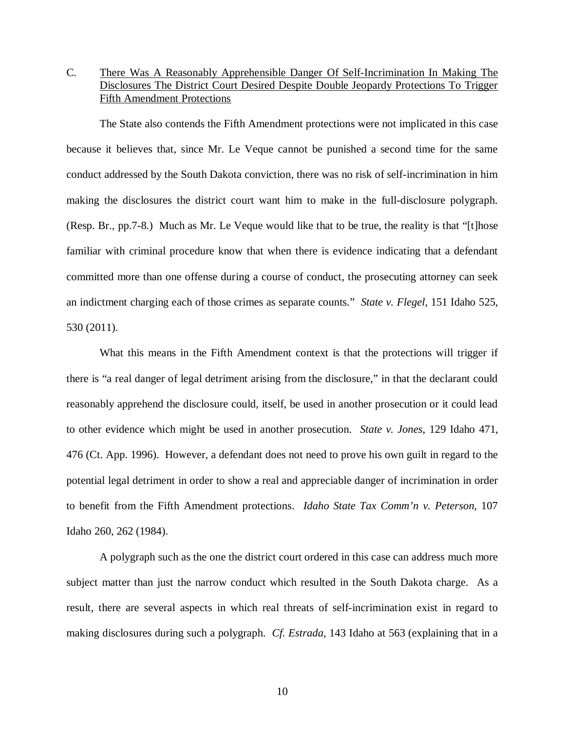# C. There Was A Reasonably Apprehensible Danger Of Self-Incrimination In Making The Disclosures The District Court Desired Despite Double Jeopardy Protections To Trigger Fifth Amendment Protections

The State also contends the Fifth Amendment protections were not implicated in this case because it believes that, since Mr. Le Veque cannot be punished a second time for the same conduct addressed by the South Dakota conviction, there was no risk of self-incrimination in him making the disclosures the district court want him to make in the full-disclosure polygraph. (Resp. Br., pp.7-8.) Much as Mr. Le Veque would like that to be true, the reality is that "[t]hose familiar with criminal procedure know that when there is evidence indicating that a defendant committed more than one offense during a course of conduct, the prosecuting attorney can seek an indictment charging each of those crimes as separate counts." *State v. Flegel*, 151 Idaho 525, 530 (2011).

What this means in the Fifth Amendment context is that the protections will trigger if there is "a real danger of legal detriment arising from the disclosure," in that the declarant could reasonably apprehend the disclosure could, itself, be used in another prosecution or it could lead to other evidence which might be used in another prosecution. *State v. Jones*, 129 Idaho 471, 476 (Ct. App. 1996). However, a defendant does not need to prove his own guilt in regard to the potential legal detriment in order to show a real and appreciable danger of incrimination in order to benefit from the Fifth Amendment protections. *Idaho State Tax Comm'n v. Peterson*, 107 Idaho 260, 262 (1984).

A polygraph such as the one the district court ordered in this case can address much more subject matter than just the narrow conduct which resulted in the South Dakota charge. As a result, there are several aspects in which real threats of self-incrimination exist in regard to making disclosures during such a polygraph. *Cf. Estrada*, 143 Idaho at 563 (explaining that in a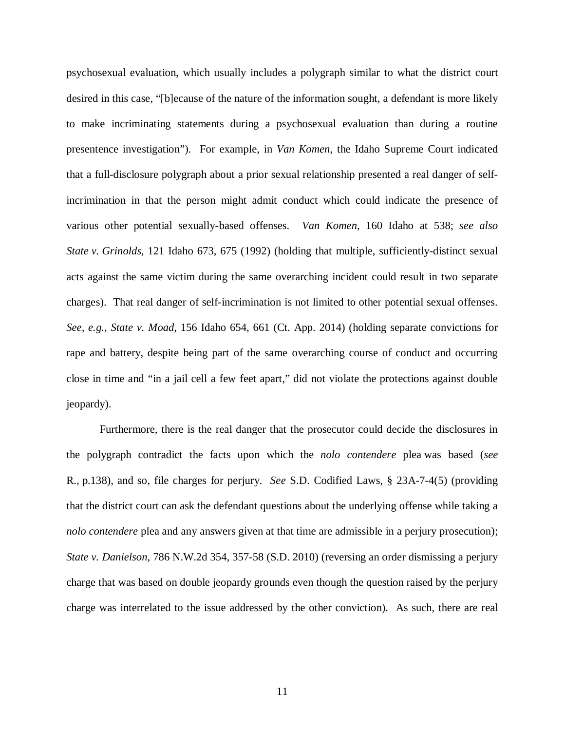psychosexual evaluation, which usually includes a polygraph similar to what the district court desired in this case, "[b]ecause of the nature of the information sought, a defendant is more likely to make incriminating statements during a psychosexual evaluation than during a routine presentence investigation"). For example, in *Van Komen*, the Idaho Supreme Court indicated that a full-disclosure polygraph about a prior sexual relationship presented a real danger of selfincrimination in that the person might admit conduct which could indicate the presence of various other potential sexually-based offenses. *Van Komen*, 160 Idaho at 538; *see also State v. Grinolds*, 121 Idaho 673, 675 (1992) (holding that multiple, sufficiently-distinct sexual acts against the same victim during the same overarching incident could result in two separate charges). That real danger of self-incrimination is not limited to other potential sexual offenses. *See, e.g., State v. Moad*, 156 Idaho 654, 661 (Ct. App. 2014) (holding separate convictions for rape and battery, despite being part of the same overarching course of conduct and occurring close in time and "in a jail cell a few feet apart," did not violate the protections against double jeopardy).

Furthermore, there is the real danger that the prosecutor could decide the disclosures in the polygraph contradict the facts upon which the *nolo contendere* plea was based (*see* R., p.138), and so, file charges for perjury. *See* S.D. Codified Laws, § 23A-7-4(5) (providing that the district court can ask the defendant questions about the underlying offense while taking a *nolo contendere* plea and any answers given at that time are admissible in a perjury prosecution); *State v. Danielson*, 786 N.W.2d 354, 357-58 (S.D. 2010) (reversing an order dismissing a perjury charge that was based on double jeopardy grounds even though the question raised by the perjury charge was interrelated to the issue addressed by the other conviction). As such, there are real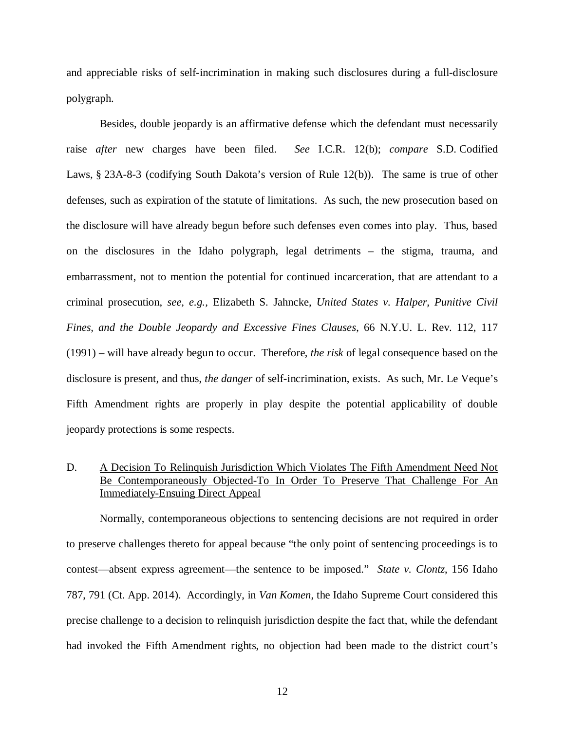and appreciable risks of self-incrimination in making such disclosures during a full-disclosure polygraph.

Besides, double jeopardy is an affirmative defense which the defendant must necessarily raise *after* new charges have been filed. *See* I.C.R. 12(b); *compare* S.D. Codified Laws, § 23A-8-3 (codifying South Dakota's version of Rule 12(b)). The same is true of other defenses, such as expiration of the statute of limitations. As such, the new prosecution based on the disclosure will have already begun before such defenses even comes into play. Thus, based on the disclosures in the Idaho polygraph, legal detriments – the stigma, trauma, and embarrassment, not to mention the potential for continued incarceration, that are attendant to a criminal prosecution, *see, e.g.,* Elizabeth S. Jahncke, *United States v. Halper, Punitive Civil Fines, and the Double Jeopardy and Excessive Fines Clauses*, 66 N.Y.U. L. Rev. 112, 117 (1991) – will have already begun to occur. Therefore, *the risk* of legal consequence based on the disclosure is present, and thus, *the danger* of self-incrimination, exists. As such, Mr. Le Veque's Fifth Amendment rights are properly in play despite the potential applicability of double jeopardy protections is some respects.

## D. A Decision To Relinquish Jurisdiction Which Violates The Fifth Amendment Need Not Be Contemporaneously Objected-To In Order To Preserve That Challenge For An Immediately-Ensuing Direct Appeal

Normally, contemporaneous objections to sentencing decisions are not required in order to preserve challenges thereto for appeal because "the only point of sentencing proceedings is to contest—absent express agreement—the sentence to be imposed." *State v. Clontz*, 156 Idaho 787, 791 (Ct. App. 2014). Accordingly, in *Van Komen*, the Idaho Supreme Court considered this precise challenge to a decision to relinquish jurisdiction despite the fact that, while the defendant had invoked the Fifth Amendment rights, no objection had been made to the district court's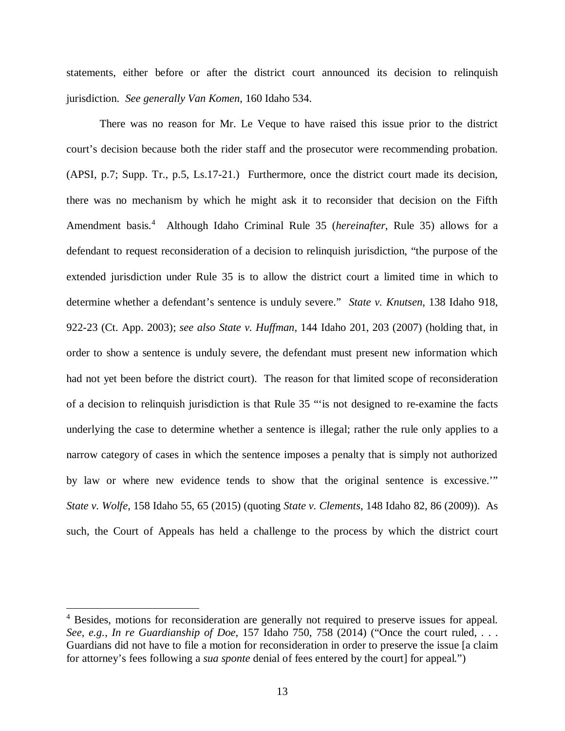statements, either before or after the district court announced its decision to relinquish jurisdiction. *See generally Van Komen*, 160 Idaho 534.

There was no reason for Mr. Le Veque to have raised this issue prior to the district court's decision because both the rider staff and the prosecutor were recommending probation. (APSI, p.7; Supp. Tr., p.5, Ls.17-21.) Furthermore, once the district court made its decision, there was no mechanism by which he might ask it to reconsider that decision on the Fifth Amendment basis.[4](#page-19-0) Although Idaho Criminal Rule 35 (*hereinafter*, Rule 35) allows for a defendant to request reconsideration of a decision to relinquish jurisdiction, "the purpose of the extended jurisdiction under Rule 35 is to allow the district court a limited time in which to determine whether a defendant's sentence is unduly severe." *State v. Knutsen*, 138 Idaho 918, 922-23 (Ct. App. 2003); *see also State v. Huffman*, 144 Idaho 201, 203 (2007) (holding that, in order to show a sentence is unduly severe, the defendant must present new information which had not yet been before the district court). The reason for that limited scope of reconsideration of a decision to relinquish jurisdiction is that Rule 35 "'is not designed to re-examine the facts underlying the case to determine whether a sentence is illegal; rather the rule only applies to a narrow category of cases in which the sentence imposes a penalty that is simply not authorized by law or where new evidence tends to show that the original sentence is excessive.'" *State v. Wolfe*, 158 Idaho 55, 65 (2015) (quoting *State v. Clements*, 148 Idaho 82, 86 (2009)). As such, the Court of Appeals has held a challenge to the process by which the district court

<span id="page-19-0"></span><sup>&</sup>lt;sup>4</sup> Besides, motions for reconsideration are generally not required to preserve issues for appeal. *See, e.g., In re Guardianship of Doe*, 157 Idaho 750, 758 (2014) ("Once the court ruled, . . . Guardians did not have to file a motion for reconsideration in order to preserve the issue [a claim for attorney's fees following a *sua sponte* denial of fees entered by the court] for appeal.")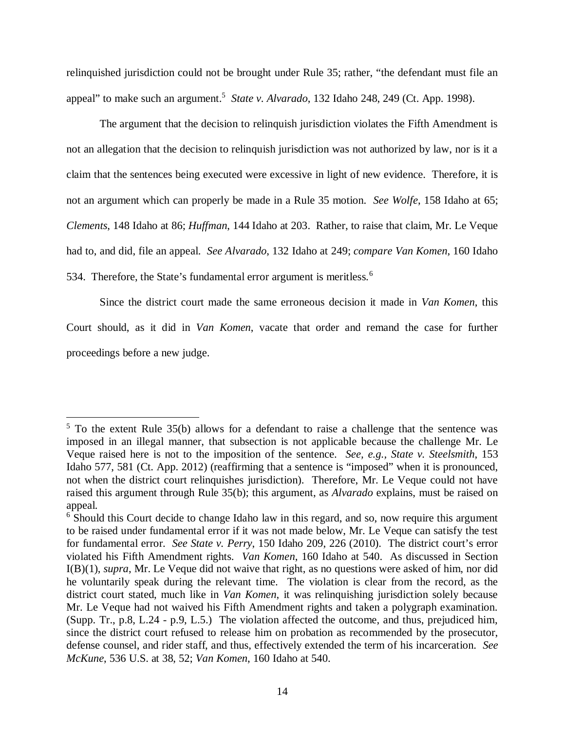relinquished jurisdiction could not be brought under Rule 35; rather, "the defendant must file an appeal" to make such an argument.<sup>[5](#page-20-0)</sup> State v. Alvarado, 132 Idaho 248, 249 (Ct. App. 1998).

The argument that the decision to relinquish jurisdiction violates the Fifth Amendment is not an allegation that the decision to relinquish jurisdiction was not authorized by law, nor is it a claim that the sentences being executed were excessive in light of new evidence. Therefore, it is not an argument which can properly be made in a Rule 35 motion. *See Wolfe*, 158 Idaho at 65; *Clements*, 148 Idaho at 86; *Huffman*, 144 Idaho at 203. Rather, to raise that claim, Mr. Le Veque had to, and did, file an appeal. *See Alvarado*, 132 Idaho at 249; *compare Van Komen*, 160 Idaho 534. Therefore, the State's fundamental error argument is meritless.<sup>[6](#page-20-1)</sup>

Since the district court made the same erroneous decision it made in *Van Komen*, this Court should, as it did in *Van Komen*, vacate that order and remand the case for further proceedings before a new judge.

<span id="page-20-0"></span> $5$  To the extent Rule 35(b) allows for a defendant to raise a challenge that the sentence was imposed in an illegal manner, that subsection is not applicable because the challenge Mr. Le Veque raised here is not to the imposition of the sentence. *See, e.g., State v. Steelsmith*, 153 Idaho 577, 581 (Ct. App. 2012) (reaffirming that a sentence is "imposed" when it is pronounced, not when the district court relinquishes jurisdiction). Therefore, Mr. Le Veque could not have raised this argument through Rule 35(b); this argument, as *Alvarado* explains, must be raised on appeal.

<span id="page-20-1"></span><sup>&</sup>lt;sup>6</sup> Should this Court decide to change Idaho law in this regard, and so, now require this argument to be raised under fundamental error if it was not made below, Mr. Le Veque can satisfy the test for fundamental error. *See State v. Perry*, 150 Idaho 209, 226 (2010). The district court's error violated his Fifth Amendment rights. *Van Komen*, 160 Idaho at 540. As discussed in Section I(B)(1), *supra*, Mr. Le Veque did not waive that right, as no questions were asked of him, nor did he voluntarily speak during the relevant time. The violation is clear from the record, as the district court stated, much like in *Van Komen*, it was relinquishing jurisdiction solely because Mr. Le Veque had not waived his Fifth Amendment rights and taken a polygraph examination. (Supp. Tr., p.8, L.24 - p.9, L.5.) The violation affected the outcome, and thus, prejudiced him, since the district court refused to release him on probation as recommended by the prosecutor, defense counsel, and rider staff, and thus, effectively extended the term of his incarceration. *See McKune*, 536 U.S. at 38, 52; *Van Komen*, 160 Idaho at 540.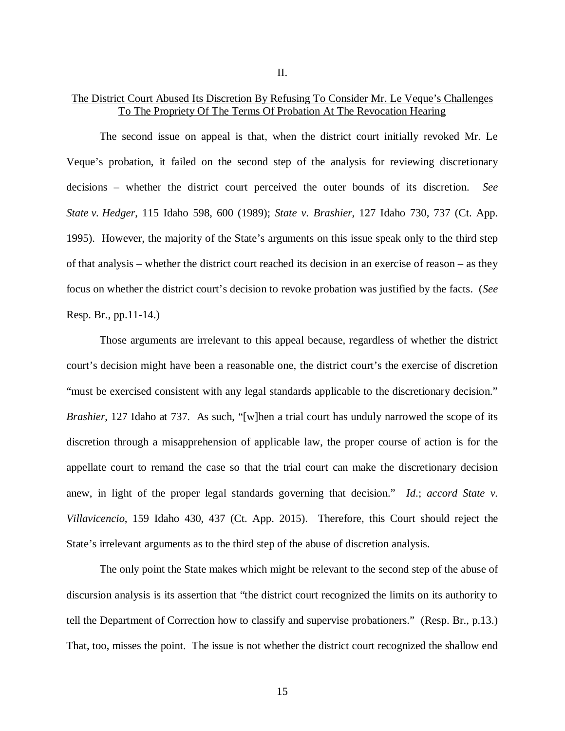### The District Court Abused Its Discretion By Refusing To Consider Mr. Le Veque's Challenges To The Propriety Of The Terms Of Probation At The Revocation Hearing

The second issue on appeal is that, when the district court initially revoked Mr. Le Veque's probation, it failed on the second step of the analysis for reviewing discretionary decisions – whether the district court perceived the outer bounds of its discretion. *See State v. Hedger*, 115 Idaho 598, 600 (1989); *State v. Brashier*, 127 Idaho 730, 737 (Ct. App. 1995). However, the majority of the State's arguments on this issue speak only to the third step of that analysis – whether the district court reached its decision in an exercise of reason – as they focus on whether the district court's decision to revoke probation was justified by the facts. (*See* Resp. Br., pp.11-14.)

Those arguments are irrelevant to this appeal because, regardless of whether the district court's decision might have been a reasonable one, the district court's the exercise of discretion "must be exercised consistent with any legal standards applicable to the discretionary decision." *Brashier*, 127 Idaho at 737. As such, "[w]hen a trial court has unduly narrowed the scope of its discretion through a misapprehension of applicable law, the proper course of action is for the appellate court to remand the case so that the trial court can make the discretionary decision anew, in light of the proper legal standards governing that decision." *Id*.; *accord State v. Villavicencio*, 159 Idaho 430, 437 (Ct. App. 2015). Therefore, this Court should reject the State's irrelevant arguments as to the third step of the abuse of discretion analysis.

The only point the State makes which might be relevant to the second step of the abuse of discursion analysis is its assertion that "the district court recognized the limits on its authority to tell the Department of Correction how to classify and supervise probationers." (Resp. Br., p.13.) That, too, misses the point. The issue is not whether the district court recognized the shallow end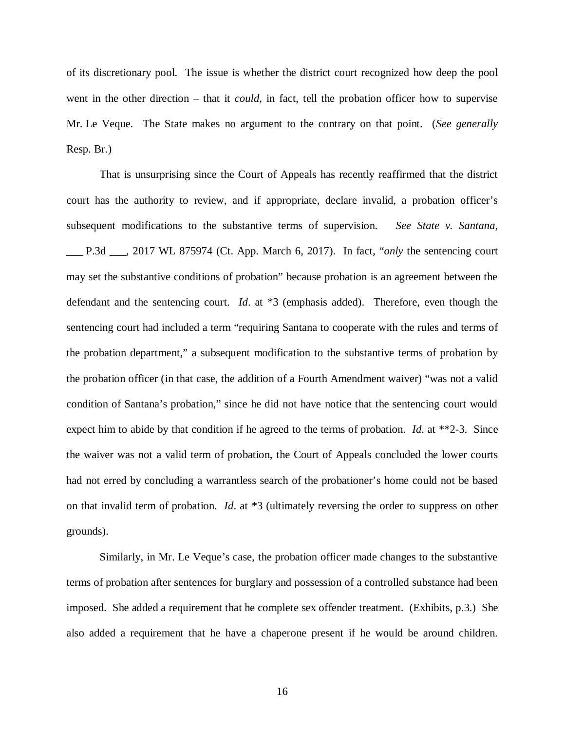of its discretionary pool. The issue is whether the district court recognized how deep the pool went in the other direction – that it *could*, in fact, tell the probation officer how to supervise Mr. Le Veque. The State makes no argument to the contrary on that point. (*See generally* Resp. Br.)

That is unsurprising since the Court of Appeals has recently reaffirmed that the district court has the authority to review, and if appropriate, declare invalid, a probation officer's subsequent modifications to the substantive terms of supervision. *See State v. Santana*, \_\_\_ P.3d \_\_\_, 2017 WL 875974 (Ct. App. March 6, 2017). In fact, "*only* the sentencing court may set the substantive conditions of probation" because probation is an agreement between the defendant and the sentencing court. *Id*. at \*3 (emphasis added). Therefore, even though the sentencing court had included a term "requiring Santana to cooperate with the rules and terms of the probation department," a subsequent modification to the substantive terms of probation by the probation officer (in that case, the addition of a Fourth Amendment waiver) "was not a valid condition of Santana's probation," since he did not have notice that the sentencing court would expect him to abide by that condition if he agreed to the terms of probation. *Id*. at \*\*2-3. Since the waiver was not a valid term of probation, the Court of Appeals concluded the lower courts had not erred by concluding a warrantless search of the probationer's home could not be based on that invalid term of probation. *Id*. at \*3 (ultimately reversing the order to suppress on other grounds).

Similarly, in Mr. Le Veque's case, the probation officer made changes to the substantive terms of probation after sentences for burglary and possession of a controlled substance had been imposed. She added a requirement that he complete sex offender treatment. (Exhibits, p.3.) She also added a requirement that he have a chaperone present if he would be around children.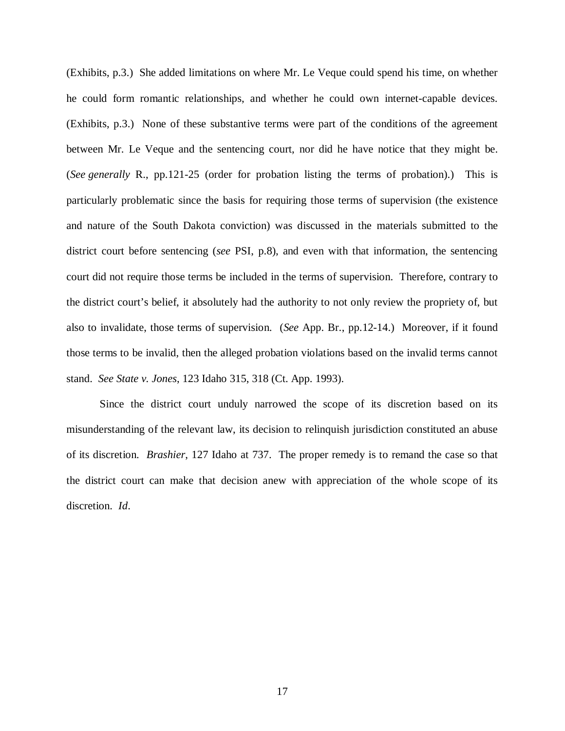(Exhibits, p.3.) She added limitations on where Mr. Le Veque could spend his time, on whether he could form romantic relationships, and whether he could own internet-capable devices. (Exhibits, p.3.) None of these substantive terms were part of the conditions of the agreement between Mr. Le Veque and the sentencing court, nor did he have notice that they might be. (*See generally* R., pp.121-25 (order for probation listing the terms of probation).) This is particularly problematic since the basis for requiring those terms of supervision (the existence and nature of the South Dakota conviction) was discussed in the materials submitted to the district court before sentencing (*see* PSI, p.8), and even with that information, the sentencing court did not require those terms be included in the terms of supervision. Therefore, contrary to the district court's belief, it absolutely had the authority to not only review the propriety of, but also to invalidate, those terms of supervision. (*See* App. Br., pp.12-14.) Moreover, if it found those terms to be invalid, then the alleged probation violations based on the invalid terms cannot stand. *See State v. Jones*, 123 Idaho 315, 318 (Ct. App. 1993).

Since the district court unduly narrowed the scope of its discretion based on its misunderstanding of the relevant law, its decision to relinquish jurisdiction constituted an abuse of its discretion. *Brashier*, 127 Idaho at 737. The proper remedy is to remand the case so that the district court can make that decision anew with appreciation of the whole scope of its discretion. *Id*.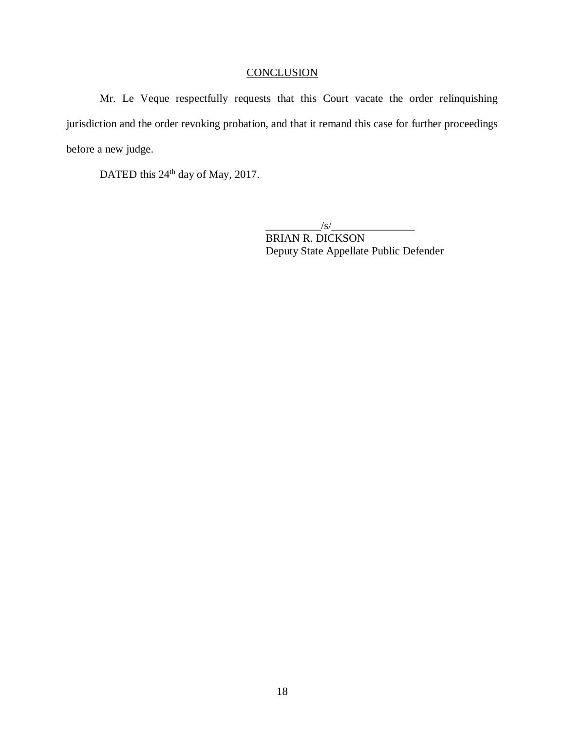# **CONCLUSION**

Mr. Le Veque respectfully requests that this Court vacate the order relinquishing jurisdiction and the order revoking probation, and that it remand this case for further proceedings before a new judge.

DATED this 24<sup>th</sup> day of May, 2017.

 $\frac{1}{s}$  /s/ $\frac{1}{s}$ BRIAN R. DICKSON Deputy State Appellate Public Defender